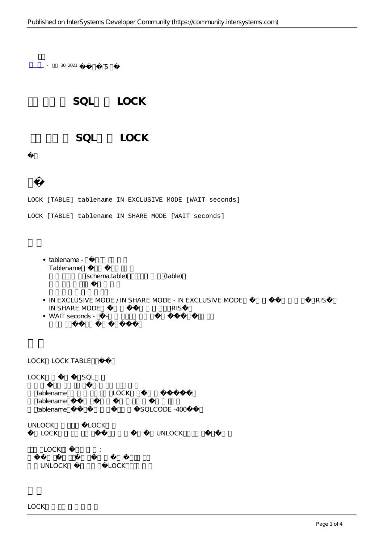$\frac{1}{2}$  · 30, 2021 5 SQL LOCK SQL LOCK LOCK [TABLE] tablename IN EXCLUSIVE MODE [WAIT seconds] LOCK [TABLE] tablename IN SHARE MODE [WAIT seconds] • tablename -Tablename (schema.table) (table) IN EXCLUSIVE MODE / IN SHARE MODE - IN EXCLUSIVE MODE<br>IN SHARE MODE IN SHARE MODE  $\bullet$  WAIT seconds -  $\bullet$ LOCK LOCK TABLE LOCK SQL tablename<br>
LOCK tablename tablename SQLCODE -400 UNLOCK LOCK LOCK UNLOCK LOCK ; UNLOCK LOCK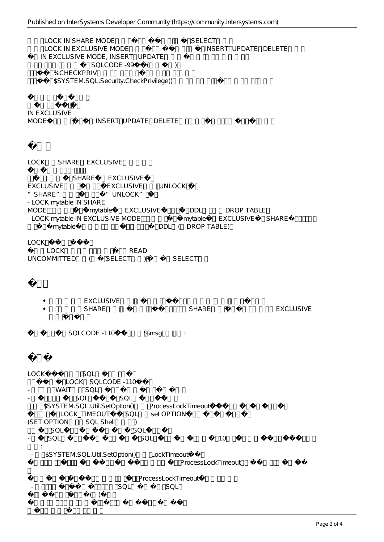LOCK IN SHARE MODE  $S$  FLECT LOCK IN EXCLUSIVE MODE THE RELATION INSERT UPDATE DELETE IN EXCLUSIVE MODE, INSERT UPDATE  $SOLCODE -99$  () %CHECKPRIV \$SYSTEM.SQL.Security.CheckPrivilege()

 $\mathcal{L}$ 

IN EXCLUSIVE MODE INSERT UPDATE DELETE

LOCK SHARE EXCLUSIVE

SHARE EXCLUSIVE EXCLUSIVE EXCLUSIVE UNLOCK<br>"SHARF" "UNLOCK" "SHARE" - LOCK mytable IN SHARE MODE可以防止其他进程对mytable发出EXCLUSIVE锁,或者调用DDL操作,比如DROP TABLE。 - LOCK mytable IN EXCLUSIVE MODE mytable EXCLUSIVE SHARE mytable DDL (DROP TABLE)

 $LOCK$ LOCK READ UNCOMMITTED ( SELECT ) SELECT

EXCLUSIVE

如果一个表在SHARE模式下已经被其他用户锁定,也可以在SHARE模式下锁定该表,但不能在EXCLUSIVE

SQLCODE -110 %msg :

LOCK SQL LOCK SQLCODE -110 WAIT SQL SQL SQL \$SYSTEM.SQL.Util.SetOption() ProcessLockTimeout LOCK TIMEOUT SQL set OPTION (SET OPTION SQL Shell )<br>SOI SQL SQL<br>SQL  $-$  SQL SQL  $\sim$  SQL $\sim$  10 方式: \$SYSTEM.SQL.Util.SetOption() LockTimeout **ProcessLockTimeout** ProcessLockTimeout - Personal property of the SQL and SQL square state of the SQL square state of the SQL square state of the SQL  $($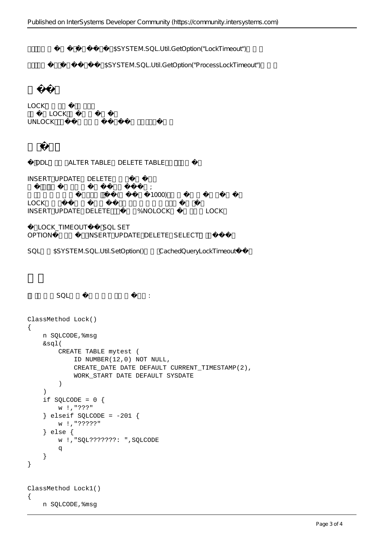\$SYSTEM.SQL.Util.GetOption("LockTimeout")

## \$SYSTEM.SQL.Util.GetOption("ProcessLockTimeout")

LOCK LOCK UNLOCK

```
DDL ALTER TABLE DELETE TABLE
INSERT UPDATE DELETE
\ddot{\hspace{1.5cm}},
( 1000)
\mathsf{LOCK}INSERT UPDATE DELETE %NOLOCK LOCK
  LOCK TIMEOUT SQL SET
OPTION INSERT UPDATE DELETE SELECT
SQL $SYSTEM.SQL.Util.SetOption() CachedQueryLockTimeout
      SQLClassMethod Lock()
{
    n SQLCODE,%msg
    &sql(
       CREATE TABLE mytest (
          ID NUMBER(12,0) NOT NULL,
           CREATE_DATE DATE DEFAULT CURRENT_TIMESTAMP(2),
           WORK_START DATE DEFAULT SYSDATE
       ) 
    )
   if SQLCODE = 0 {
       w !,"???" 
   \} elseif SQLCODE = -201 {
       w !,"?????" 
    } else { 
       w !,"SQL???????: ",SQLCODE
       q 
    }
}
ClassMethod Lock1()
{
    n SQLCODE,%msg
```